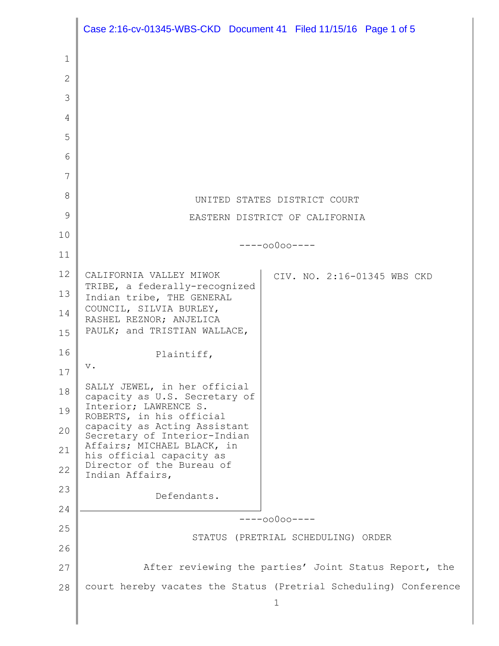|              | Case 2:16-cv-01345-WBS-CKD Document 41 Filed 11/15/16 Page 1 of 5 |
|--------------|-------------------------------------------------------------------|
| 1            |                                                                   |
| $\mathbf{2}$ |                                                                   |
| 3            |                                                                   |
| 4            |                                                                   |
| 5            |                                                                   |
| 6            |                                                                   |
| 7            |                                                                   |
| 8            | UNITED STATES DISTRICT COURT                                      |
| 9            | EASTERN DISTRICT OF CALIFORNIA                                    |
| 10           |                                                                   |
| 11           | $---00000---$                                                     |
| 12           | CALIFORNIA VALLEY MIWOK<br>CIV. NO. 2:16-01345 WBS CKD            |
| 13           | TRIBE, a federally-recognized<br>Indian tribe, THE GENERAL        |
| 14           | COUNCIL, SILVIA BURLEY,<br>RASHEL REZNOR; ANJELICA                |
| 15           | PAULK; and TRISTIAN WALLACE,                                      |
| 16           | Plaintiff,                                                        |
| 17           | $\mathbf v$ .                                                     |
| 18           | SALLY JEWEL, in her official<br>capacity as U.S. Secretary of     |
| 19           | Interior; LAWRENCE S.<br>ROBERTS, in his official                 |
| 20           | capacity as Acting Assistant<br>Secretary of Interior-Indian      |
| 21           | Affairs; MICHAEL BLACK, in<br>his official capacity as            |
| 22           | Director of the Bureau of<br>Indian Affairs,                      |
| 23           | Defendants.                                                       |
| 24           | $---00000---$                                                     |
| 25           | STATUS (PRETRIAL SCHEDULING) ORDER                                |
| 26           |                                                                   |
| 27           | After reviewing the parties' Joint Status Report, the             |
| 28           | court hereby vacates the Status (Pretrial Scheduling) Conference  |
|              | 1                                                                 |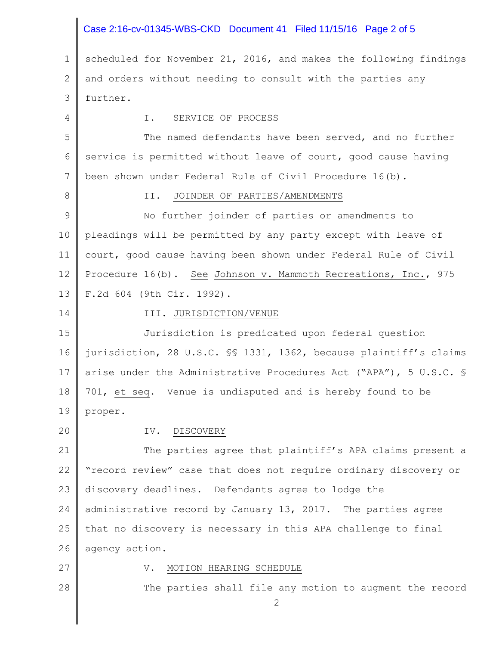# Case 2:16-cv-01345-WBS-CKD Document 41 Filed 11/15/16 Page 2 of 5

1 2 3 scheduled for November 21, 2016, and makes the following findings and orders without needing to consult with the parties any further.

4 5 6 7 8 9 10 11 12 13 I. SERVICE OF PROCESS The named defendants have been served, and no further service is permitted without leave of court, good cause having been shown under Federal Rule of Civil Procedure 16(b). II. JOINDER OF PARTIES/AMENDMENTS No further joinder of parties or amendments to pleadings will be permitted by any party except with leave of court, good cause having been shown under Federal Rule of Civil Procedure 16(b). See Johnson v. Mammoth Recreations, Inc., 975 F.2d 604 (9th Cir. 1992).

15 16 17 18 19 III. JURISDICTION/VENUE Jurisdiction is predicated upon federal question jurisdiction, 28 U.S.C. §§ 1331, 1362, because plaintiff's claims arise under the Administrative Procedures Act ("APA"), 5 U.S.C. § 701, et seq. Venue is undisputed and is hereby found to be proper.

20

14

#### IV. DISCOVERY

21 22 23 24 25 26 The parties agree that plaintiff's APA claims present a "record review" case that does not require ordinary discovery or discovery deadlines. Defendants agree to lodge the administrative record by January 13, 2017. The parties agree that no discovery is necessary in this APA challenge to final agency action.

27

28

#### V. MOTION HEARING SCHEDULE

The parties shall file any motion to augment the record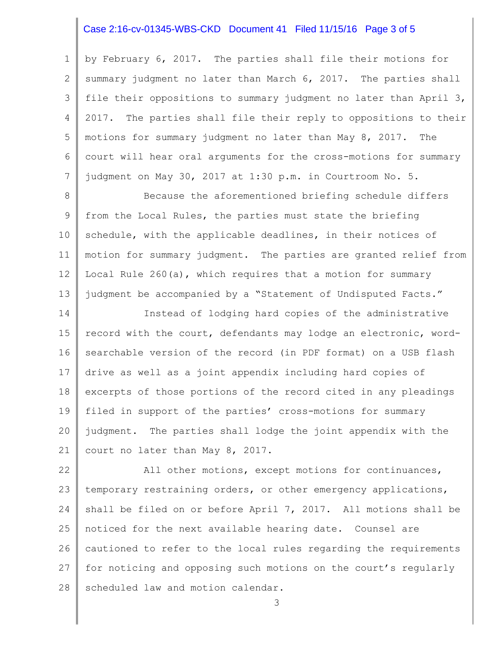# Case 2:16-cv-01345-WBS-CKD Document 41 Filed 11/15/16 Page 3 of 5

1 2 3 4 5 6 7 by February 6, 2017. The parties shall file their motions for summary judgment no later than March 6, 2017. The parties shall file their oppositions to summary judgment no later than April 3, 2017. The parties shall file their reply to oppositions to their motions for summary judgment no later than May 8, 2017. The court will hear oral arguments for the cross-motions for summary judgment on May 30, 2017 at 1:30 p.m. in Courtroom No. 5.

8 9 10 11 12 13 Because the aforementioned briefing schedule differs from the Local Rules, the parties must state the briefing schedule, with the applicable deadlines, in their notices of motion for summary judgment. The parties are granted relief from Local Rule 260(a), which requires that a motion for summary judgment be accompanied by a "Statement of Undisputed Facts."

14 15 16 17 18 19 20 21 Instead of lodging hard copies of the administrative record with the court, defendants may lodge an electronic, wordsearchable version of the record (in PDF format) on a USB flash drive as well as a joint appendix including hard copies of excerpts of those portions of the record cited in any pleadings filed in support of the parties' cross-motions for summary judgment. The parties shall lodge the joint appendix with the court no later than May 8, 2017.

22 23 24 25 26 27 28 All other motions, except motions for continuances, temporary restraining orders, or other emergency applications, shall be filed on or before April 7, 2017. All motions shall be noticed for the next available hearing date. Counsel are cautioned to refer to the local rules regarding the requirements for noticing and opposing such motions on the court's regularly scheduled law and motion calendar.

3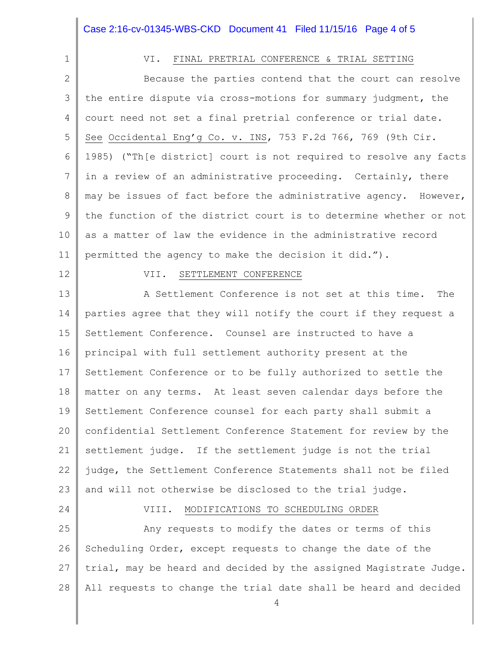# Case 2:16-cv-01345-WBS-CKD Document 41 Filed 11/15/16 Page 4 of 5

# 1

# VI. FINAL PRETRIAL CONFERENCE & TRIAL SETTING

2 3 4 5 6 7 8 9 10 11 Because the parties contend that the court can resolve the entire dispute via cross-motions for summary judgment, the court need not set a final pretrial conference or trial date. See Occidental Eng'g Co. v. INS, 753 F.2d 766, 769 (9th Cir. 1985) ("Th[e district] court is not required to resolve any facts in a review of an administrative proceeding. Certainly, there may be issues of fact before the administrative agency. However, the function of the district court is to determine whether or not as a matter of law the evidence in the administrative record permitted the agency to make the decision it did.").

#### 12

#### VII. SETTLEMENT CONFERENCE

13 14 15 16 17 18 19 20 21 22 23 A Settlement Conference is not set at this time. The parties agree that they will notify the court if they request a Settlement Conference. Counsel are instructed to have a principal with full settlement authority present at the Settlement Conference or to be fully authorized to settle the matter on any terms. At least seven calendar days before the Settlement Conference counsel for each party shall submit a confidential Settlement Conference Statement for review by the settlement judge. If the settlement judge is not the trial judge, the Settlement Conference Statements shall not be filed and will not otherwise be disclosed to the trial judge.

### 24

#### VIII. MODIFICATIONS TO SCHEDULING ORDER

25 26 27 28 Any requests to modify the dates or terms of this Scheduling Order, except requests to change the date of the trial, may be heard and decided by the assigned Magistrate Judge. All requests to change the trial date shall be heard and decided